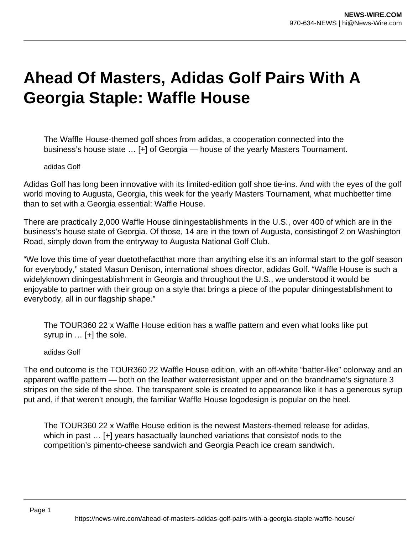# **Ahead Of Masters, Adidas Golf Pairs With A Georgia Staple: Waffle House**

The Waffle House-themed golf shoes from adidas, a cooperation connected into the business's house state … [+] of Georgia — house of the yearly Masters Tournament.

#### adidas Golf

Adidas Golf has long been innovative with its limited-edition golf shoe tie-ins. And with the eyes of the golf world moving to Augusta, Georgia, this week for the yearly Masters Tournament, what muchbetter time than to set with a Georgia essential: Waffle House.

There are practically 2,000 Waffle House diningestablishments in the U.S., over 400 of which are in the business's house state of Georgia. Of those, 14 are in the town of Augusta, consistingof 2 on Washington Road, simply down from the entryway to Augusta National Golf Club.

"We love this time of year duetothefactthat more than anything else it's an informal start to the golf season for everybody," stated Masun Denison, international shoes director, adidas Golf. "Waffle House is such a widelyknown diningestablishment in Georgia and throughout the U.S., we understood it would be enjoyable to partner with their group on a style that brings a piece of the popular diningestablishment to everybody, all in our flagship shape."

The TOUR360 22 x Waffle House edition has a waffle pattern and even what looks like put syrup in … [+] the sole.

#### adidas Golf

The end outcome is the TOUR360 22 Waffle House edition, with an off-white "batter-like" colorway and an apparent waffle pattern — both on the leather waterresistant upper and on the brandname's signature 3 stripes on the side of the shoe. The transparent sole is created to appearance like it has a generous syrup put and, if that weren't enough, the familiar Waffle House logodesign is popular on the heel.

The TOUR360 22 x Waffle House edition is the newest Masters-themed release for adidas, which in past … [+] years hasactually launched variations that consistof nods to the competition's pimento-cheese sandwich and Georgia Peach ice cream sandwich.